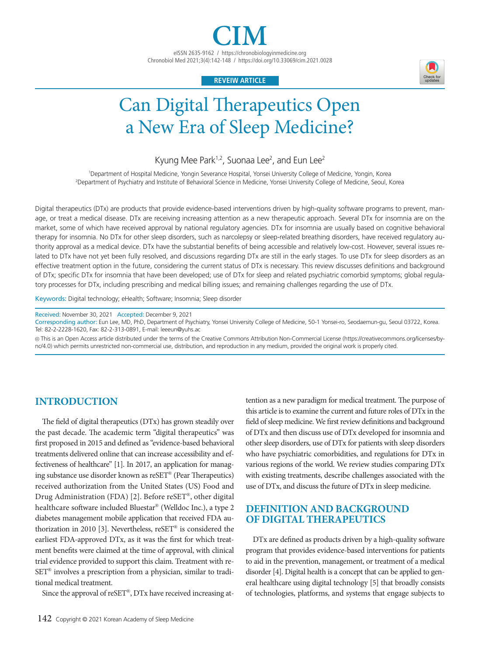eISSN 2635-9162 / https://chronobiologyinmedicine.org Chronobiol Med 2021;3(4):142-148 / https://doi.org/10.33069/cim.2021.0028

## **REVEIW ARTICLE**



# Can Digital Therapeutics Open a New Era of Sleep Medicine?

Kyung Mee Park<sup>1,2</sup>, Suonaa Lee<sup>2</sup>, and Eun Lee<sup>2</sup>

1 Department of Hospital Medicine, Yongin Severance Hospital, Yonsei University College of Medicine, Yongin, Korea 2 Department of Psychiatry and Institute of Behavioral Science in Medicine, Yonsei University College of Medicine, Seoul, Korea

Digital therapeutics (DTx) are products that provide evidence-based interventions driven by high-quality software programs to prevent, manage, or treat a medical disease. DTx are receiving increasing attention as a new therapeutic approach. Several DTx for insomnia are on the market, some of which have received approval by national regulatory agencies. DTx for insomnia are usually based on cognitive behavioral therapy for insomnia. No DTx for other sleep disorders, such as narcolepsy or sleep-related breathing disorders, have received regulatory authority approval as a medical device. DTx have the substantial benefits of being accessible and relatively low-cost. However, several issues related to DTx have not yet been fully resolved, and discussions regarding DTx are still in the early stages. To use DTx for sleep disorders as an effective treatment option in the future, considering the current status of DTx is necessary. This review discusses definitions and background of DTx; specific DTx for insomnia that have been developed; use of DTx for sleep and related psychiatric comorbid symptoms; global regulatory processes for DTx, including prescribing and medical billing issues; and remaining challenges regarding the use of DTx.

Keywords: Digital technology; eHealth; Software; Insomnia; Sleep disorder

Received: November 30, 2021 Accepted: December 9, 2021

Corresponding author: Eun Lee, MD, PhD, Department of Psychiatry, Yonsei University College of Medicine, 50-1 Yonsei-ro, Seodaemun-gu, Seoul 03722, Korea. Tel: 82-2-2228-1620, Fax: 82-2-313-0891, E-mail: leeeun@yuhs.ac

cc This is an Open Access article distributed under the terms of the Creative Commons Attribution Non-Commercial License (https://creativecommons.org/licenses/bync/4.0) which permits unrestricted non-commercial use, distribution, and reproduction in any medium, provided the original work is properly cited.

## **INTRODUCTION**

The field of digital therapeutics (DTx) has grown steadily over the past decade. The academic term "digital therapeutics" was first proposed in 2015 and defined as "evidence-based behavioral treatments delivered online that can increase accessibility and effectiveness of healthcare" [1]. In 2017, an application for managing substance use disorder known as reSET® (Pear Therapeutics) received authorization from the United States (US) Food and Drug Administration (FDA) [2]. Before reSET®, other digital healthcare software included Bluestar® (Welldoc Inc.), a type 2 diabetes management mobile application that received FDA authorization in 2010 [3]. Nevertheless, reSET® is considered the earliest FDA-approved DTx, as it was the first for which treatment benefits were claimed at the time of approval, with clinical trial evidence provided to support this claim. Treatment with re-SET® involves a prescription from a physician, similar to traditional medical treatment.

Since the approval of reSET®, DTx have received increasing at-

tention as a new paradigm for medical treatment. The purpose of this article is to examine the current and future roles of DTx in the field of sleep medicine. We first review definitions and background of DTx and then discuss use of DTx developed for insomnia and other sleep disorders, use of DTx for patients with sleep disorders who have psychiatric comorbidities, and regulations for DTx in various regions of the world. We review studies comparing DTx with existing treatments, describe challenges associated with the use of DTx, and discuss the future of DTx in sleep medicine.

# **DEFINITION AND BACKGROUND OF DIGITAL THERAPEUTICS**

DTx are defined as products driven by a high-quality software program that provides evidence-based interventions for patients to aid in the prevention, management, or treatment of a medical disorder [4]. Digital health is a concept that can be applied to general healthcare using digital technology [5] that broadly consists of technologies, platforms, and systems that engage subjects to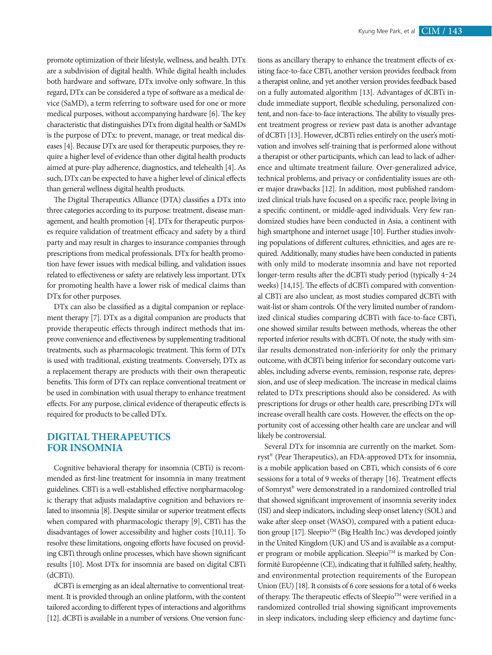promote optimization of their lifestyle, wellness, and health. DTx are a subdivision of digital health. While digital health includes both hardware and software, DTx involve only software. In this regard, DTx can be considered a type of software as a medical device (SaMD), a term referring to software used for one or more medical purposes, without accompanying hardware [6]. The key characteristic that distinguishes DTx from digital health or SaMDs is the purpose of DTx: to prevent, manage, or treat medical diseases [4]. Because DTx are used for therapeutic purposes, they require a higher level of evidence than other digital health products aimed at pure-play adherence, diagnostics, and telehealth [4]. As such, DTx can be expected to have a higher level of clinical effects than general wellness digital health products.

The Digital Therapeutics Alliance (DTA) classifies a DTx into three categories according to its purpose: treatment, disease management, and health promotion [4]. DTx for therapeutic purposes require validation of treatment efficacy and safety by a third party and may result in charges to insurance companies through prescriptions from medical professionals. DTx for health promotion have fewer issues with medical billing, and validation issues related to effectiveness or safety are relatively less important. DTx for promoting health have a lower risk of medical claims than DTx for other purposes.

DTx can also be classified as a digital companion or replacement therapy [7]. DTx as a digital companion are products that provide therapeutic effects through indirect methods that improve convenience and effectiveness by supplementing traditional treatments, such as pharmacologic treatment. This form of DTx is used with traditional, existing treatments. Conversely, DTx as a replacement therapy are products with their own therapeutic benefits. This form of DTx can replace conventional treatment or be used in combination with usual therapy to enhance treatment effects. For any purpose, clinical evidence of therapeutic effects is required for products to be called DTx.

## **DIGITAL THERAPEUTICS FOR INSOMNIA**

Cognitive behavioral therapy for insomnia (CBTi) is recommended as first-line treatment for insomnia in many treatment guidelines. CBTi is a well-established effective nonpharmacologic therapy that adjusts maladaptive cognition and behaviors related to insomnia [8]. Despite similar or superior treatment effects when compared with pharmacologic therapy [9], CBTi has the disadvantages of lower accessibility and higher costs [10,11]. To resolve these limitations, ongoing efforts have focused on providing CBTi through online processes, which have shown significant results [10]. Most DTx for insomnia are based on digital CBTi (dCBTi).

dCBTi is emerging as an ideal alternative to conventional treatment. It is provided through an online platform, with the content tailored according to different types of interactions and algorithms [12]. dCBTi is available in a number of versions. One version functions as ancillary therapy to enhance the treatment effects of existing face-to-face CBTi, another version provides feedback from a therapist online, and yet another version provides feedback based on a fully automated algorithm [13]. Advantages of dCBTi include immediate support, flexible scheduling, personalized content, and non-face-to-face interactions. The ability to visually present treatment progress or review past data is another advantage of dCBTi [13]. However, dCBTi relies entirely on the user's motivation and involves self-training that is performed alone without a therapist or other participants, which can lead to lack of adherence and ultimate treatment failure. Over-generalized advice, technical problems, and privacy or confidentiality issues are other major drawbacks [12]. In addition, most published randomized clinical trials have focused on a specific race, people living in a specific continent, or middle-aged individuals. Very few randomized studies have been conducted in Asia, a continent with high smartphone and internet usage [10]. Further studies involving populations of different cultures, ethnicities, and ages are required. Additionally, many studies have been conducted in patients with only mild to moderate insomnia and have not reported longer-term results after the dCBTi study period (typically 4–24 weeks) [14,15]. The effects of dCBTi compared with conventional CBTi are also unclear, as most studies compared dCBTi with wait-list or sham controls. Of the very limited number of randomized clinical studies comparing dCBTi with face-to-face CBTi, one showed similar results between methods, whereas the other reported inferior results with dCBTi. Of note, the study with similar results demonstrated non-inferiority for only the primary outcome, with dCBTi being inferior for secondary outcome variables, including adverse events, remission, response rate, depression, and use of sleep medication. The increase in medical claims related to DTx prescriptions should also be considered. As with prescriptions for drugs or other health care, prescribing DTx will increase overall health care costs. However, the effects on the opportunity cost of accessing other health care are unclear and will likely be controversial.

Several DTx for insomnia are currently on the market. Somryst® (Pear Therapeutics), an FDA-approved DTx for insomnia, is a mobile application based on CBTi, which consists of 6 core sessions for a total of 9 weeks of therapy [16]. Treatment effects of Somryst® were demonstrated in a randomized controlled trial that showed significant improvement of insomnia severity index (ISI) and sleep indicators, including sleep onset latency (SOL) and wake after sleep onset (WASO), compared with a patient education group [17]. Sleepio<sup>TM</sup> (Big Health Inc.) was developed jointly in the United Kingdom (UK) and US and is available as a computer program or mobile application. Sleepio $^{TM}$  is marked by Conformité Européenne (CE), indicating that it fulfilled safety, healthy, and environmental protection requirements of the European Union (EU) [18]. It consists of 6 core sessions for a total of 6 weeks of therapy. The therapeutic effects of Sleepio™ were verified in a randomized controlled trial showing significant improvements in sleep indicators, including sleep efficiency and daytime func-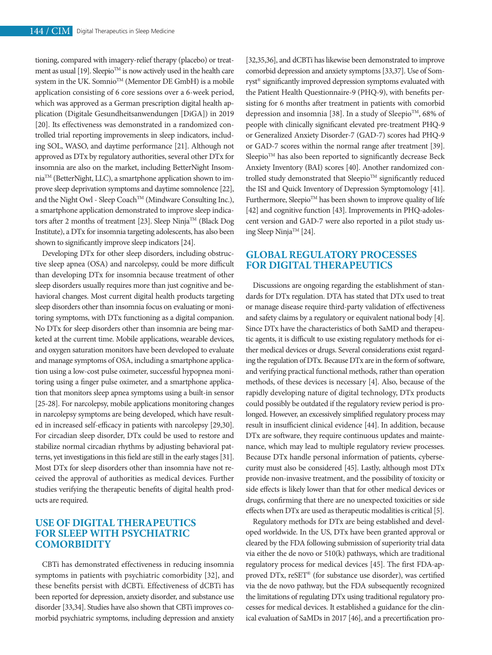tioning, compared with imagery-relief therapy (placebo) or treatment as usual [19]. Sleepio<sup>TM</sup> is now actively used in the health care system in the UK. Somnio<sup>TM</sup> (Mementor DE GmbH) is a mobile application consisting of 6 core sessions over a 6-week period, which was approved as a German prescription digital health application (Digitale Gesundheitsanwendungen [DiGA]) in 2019 [20]. Its effectiveness was demonstrated in a randomized controlled trial reporting improvements in sleep indicators, including SOL, WASO, and daytime performance [21]. Although not approved as DTx by regulatory authorities, several other DTx for insomnia are also on the market, including BetterNight InsomniaTM (BetterNight, LLC), a smartphone application shown to improve sleep deprivation symptoms and daytime somnolence [22], and the Night Owl - Sleep Coach™ (Mindware Consulting Inc.), a smartphone application demonstrated to improve sleep indicators after 2 months of treatment [23]. Sleep Ninja™ (Black Dog Institute), a DTx for insomnia targeting adolescents, has also been shown to significantly improve sleep indicators [24].

Developing DTx for other sleep disorders, including obstructive sleep apnea (OSA) and narcolepsy, could be more difficult than developing DTx for insomnia because treatment of other sleep disorders usually requires more than just cognitive and behavioral changes. Most current digital health products targeting sleep disorders other than insomnia focus on evaluating or monitoring symptoms, with DTx functioning as a digital companion. No DTx for sleep disorders other than insomnia are being marketed at the current time. Mobile applications, wearable devices, and oxygen saturation monitors have been developed to evaluate and manage symptoms of OSA, including a smartphone application using a low-cost pulse oximeter, successful hypopnea monitoring using a finger pulse oximeter, and a smartphone application that monitors sleep apnea symptoms using a built-in sensor [25-28]. For narcolepsy, mobile applications monitoring changes in narcolepsy symptoms are being developed, which have resulted in increased self-efficacy in patients with narcolepsy [29,30]. For circadian sleep disorder, DTx could be used to restore and stabilize normal circadian rhythms by adjusting behavioral patterns, yet investigations in this field are still in the early stages [31]. Most DTx for sleep disorders other than insomnia have not received the approval of authorities as medical devices. Further studies verifying the therapeutic benefits of digital health products are required.

## **USE OF DIGITAL THERAPEUTICS FOR SLEEP WITH PSYCHIATRIC COMORBIDITY**

CBTi has demonstrated effectiveness in reducing insomnia symptoms in patients with psychiatric comorbidity [32], and these benefits persist with dCBTi. Effectiveness of dCBTi has been reported for depression, anxiety disorder, and substance use disorder [33,34]. Studies have also shown that CBTi improves comorbid psychiatric symptoms, including depression and anxiety

[32,35,36], and dCBTi has likewise been demonstrated to improve comorbid depression and anxiety symptoms [33,37]. Use of Somryst® significantly improved depression symptoms evaluated with the Patient Health Questionnaire-9 (PHQ-9), with benefits persisting for 6 months after treatment in patients with comorbid depression and insomnia [38]. In a study of Sleepio<sup>TM</sup>, 68% of people with clinically significant elevated pre-treatment PHQ-9 or Generalized Anxiety Disorder-7 (GAD-7) scores had PHQ-9 or GAD-7 scores within the normal range after treatment [39]. Sleepio $T<sup>M</sup>$  has also been reported to significantly decrease Beck Anxiety Inventory (BAI) scores [40]. Another randomized controlled study demonstrated that Sleepio™ significantly reduced the ISI and Quick Inventory of Depression Symptomology [41]. Furthermore, Sleepio™ has been shown to improve quality of life [42] and cognitive function [43]. Improvements in PHQ-adolescent version and GAD-7 were also reported in a pilot study using Sleep Ninja™ [24].

# **GLOBAL REGULATORY PROCESSES FOR DIGITAL THERAPEUTICS**

Discussions are ongoing regarding the establishment of standards for DTx regulation. DTA has stated that DTx used to treat or manage disease require third-party validation of effectiveness and safety claims by a regulatory or equivalent national body [4]. Since DTx have the characteristics of both SaMD and therapeutic agents, it is difficult to use existing regulatory methods for either medical devices or drugs. Several considerations exist regarding the regulation of DTx. Because DTx are in the form of software, and verifying practical functional methods, rather than operation methods, of these devices is necessary [4]. Also, because of the rapidly developing nature of digital technology, DTx products could possibly be outdated if the regulatory review period is prolonged. However, an excessively simplified regulatory process may result in insufficient clinical evidence [44]. In addition, because DTx are software, they require continuous updates and maintenance, which may lead to multiple regulatory review processes. Because DTx handle personal information of patients, cybersecurity must also be considered [45]. Lastly, although most DTx provide non-invasive treatment, and the possibility of toxicity or side effects is likely lower than that for other medical devices or drugs, confirming that there are no unexpected toxicities or side effects when DTx are used as therapeutic modalities is critical [5].

Regulatory methods for DTx are being established and developed worldwide. In the US, DTx have been granted approval or cleared by the FDA following submission of superiority trial data via either the de novo or 510(k) pathways, which are traditional regulatory process for medical devices [45]. The first FDA-approved DTx, reSET® (for substance use disorder), was certified via the de novo pathway, but the FDA subsequently recognized the limitations of regulating DTx using traditional regulatory processes for medical devices. It established a guidance for the clinical evaluation of SaMDs in 2017 [46], and a precertification pro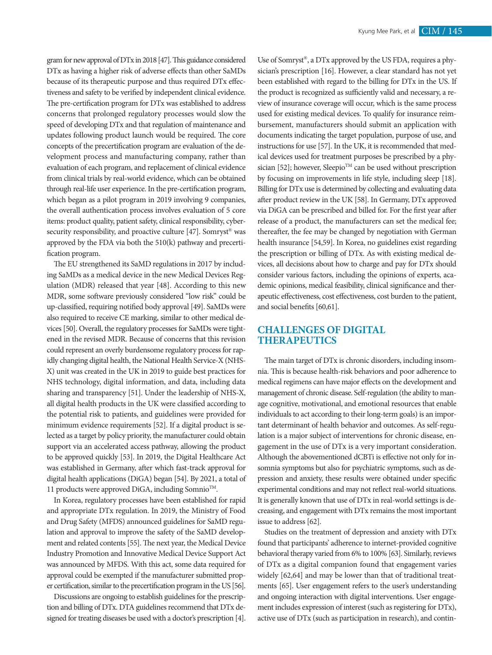gram for new approval of DTx in 2018 [47]. This guidance considered DTx as having a higher risk of adverse effects than other SaMDs because of its therapeutic purpose and thus required DTx effectiveness and safety to be verified by independent clinical evidence. The pre-certification program for DTx was established to address concerns that prolonged regulatory processes would slow the speed of developing DTx and that regulation of maintenance and updates following product launch would be required. The core concepts of the precertification program are evaluation of the development process and manufacturing company, rather than evaluation of each program, and replacement of clinical evidence from clinical trials by real-world evidence, which can be obtained through real-life user experience. In the pre-certification program, which began as a pilot program in 2019 involving 9 companies, the overall authentication process involves evaluation of 5 core items: product quality, patient safety, clinical responsibility, cybersecurity responsibility, and proactive culture [47]. Somryst® was approved by the FDA via both the 510(k) pathway and precertification program.

The EU strengthened its SaMD regulations in 2017 by including SaMDs as a medical device in the new Medical Devices Regulation (MDR) released that year [48]. According to this new MDR, some software previously considered "low risk" could be up-classified, requiring notified body approval [49]. SaMDs were also required to receive CE marking, similar to other medical devices [50]. Overall, the regulatory processes for SaMDs were tightened in the revised MDR. Because of concerns that this revision could represent an overly burdensome regulatory process for rapidly changing digital health, the National Health Service-X (NHS-X) unit was created in the UK in 2019 to guide best practices for NHS technology, digital information, and data, including data sharing and transparency [51]. Under the leadership of NHS-X, all digital health products in the UK were classified according to the potential risk to patients, and guidelines were provided for minimum evidence requirements [52]. If a digital product is selected as a target by policy priority, the manufacturer could obtain support via an accelerated access pathway, allowing the product to be approved quickly [53]. In 2019, the Digital Healthcare Act was established in Germany, after which fast-track approval for digital health applications (DiGA) began [54]. By 2021, a total of 11 products were approved DiGA, including Somnio<sup>™</sup>.

In Korea, regulatory processes have been established for rapid and appropriate DTx regulation. In 2019, the Ministry of Food and Drug Safety (MFDS) announced guidelines for SaMD regulation and approval to improve the safety of the SaMD development and related contents [55]. The next year, the Medical Device Industry Promotion and Innovative Medical Device Support Act was announced by MFDS. With this act, some data required for approval could be exempted if the manufacturer submitted proper certification, similar to the precertification program in the US [56].

Discussions are ongoing to establish guidelines for the prescription and billing of DTx. DTA guidelines recommend that DTx designed for treating diseases be used with a doctor's prescription [4]. Use of Somryst®, a DTx approved by the US FDA, requires a physician's prescription [16]. However, a clear standard has not yet been established with regard to the billing for DTx in the US. If the product is recognized as sufficiently valid and necessary, a review of insurance coverage will occur, which is the same process used for existing medical devices. To qualify for insurance reimbursement, manufacturers should submit an application with documents indicating the target population, purpose of use, and instructions for use [57]. In the UK, it is recommended that medical devices used for treatment purposes be prescribed by a physician [52]; however, Sleepio<sup>TM</sup> can be used without prescription by focusing on improvements in life style, including sleep [18]. Billing for DTx use is determined by collecting and evaluating data after product review in the UK [58]. In Germany, DTx approved via DiGA can be prescribed and billed for. For the first year after release of a product, the manufacturers can set the medical fee; thereafter, the fee may be changed by negotiation with German health insurance [54,59]. In Korea, no guidelines exist regarding the prescription or billing of DTx. As with existing medical devices, all decisions about how to charge and pay for DTx should consider various factors, including the opinions of experts, academic opinions, medical feasibility, clinical significance and therapeutic effectiveness, cost effectiveness, cost burden to the patient, and social benefits [60,61].

## **CHALLENGES OF DIGITAL THERAPEUTICS**

The main target of DTx is chronic disorders, including insomnia. This is because health-risk behaviors and poor adherence to medical regimens can have major effects on the development and management of chronic disease. Self-regulation (the ability to manage cognitive, motivational, and emotional resources that enable individuals to act according to their long-term goals) is an important determinant of health behavior and outcomes. As self-regulation is a major subject of interventions for chronic disease, engagement in the use of DTx is a very important consideration. Although the abovementioned dCBTi is effective not only for insomnia symptoms but also for psychiatric symptoms, such as depression and anxiety, these results were obtained under specific experimental conditions and may not reflect real-world situations. It is generally known that use of DTx in real-world settings is decreasing, and engagement with DTx remains the most important issue to address [62].

Studies on the treatment of depression and anxiety with DTx found that participants' adherence to internet-provided cognitive behavioral therapy varied from 6% to 100% [63]. Similarly, reviews of DTx as a digital companion found that engagement varies widely [62,64] and may be lower than that of traditional treatments [65]. User engagement refers to the user's understanding and ongoing interaction with digital interventions. User engagement includes expression of interest (such as registering for DTx), active use of DTx (such as participation in research), and contin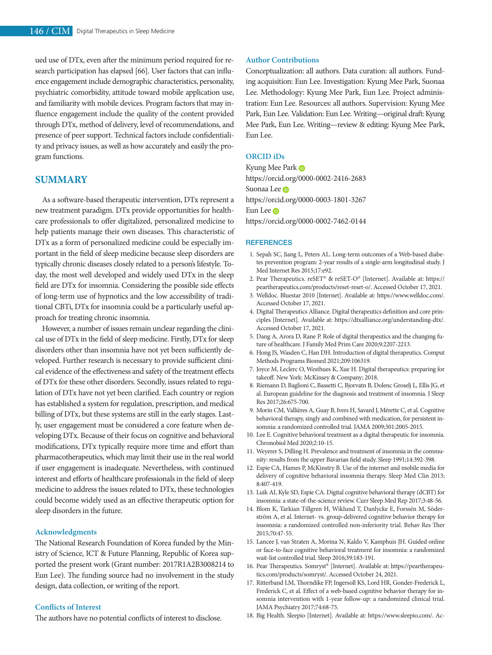ued use of DTx, even after the minimum period required for research participation has elapsed [66]. User factors that can influence engagement include demographic characteristics, personality, psychiatric comorbidity, attitude toward mobile application use, and familiarity with mobile devices. Program factors that may influence engagement include the quality of the content provided through DTx, method of delivery, level of recommendations, and presence of peer support. Technical factors include confidentiality and privacy issues, as well as how accurately and easily the program functions.

## **SUMMARY**

As a software-based therapeutic intervention, DTx represent a new treatment paradigm. DTx provide opportunities for healthcare professionals to offer digitalized, personalized medicine to help patients manage their own diseases. This characteristic of DTx as a form of personalized medicine could be especially important in the field of sleep medicine because sleep disorders are typically chronic diseases closely related to a person's lifestyle. Today, the most well developed and widely used DTx in the sleep field are DTx for insomnia. Considering the possible side effects of long-term use of hypnotics and the low accessibility of traditional CBTi, DTx for insomnia could be a particularly useful approach for treating chronic insomnia.

However, a number of issues remain unclear regarding the clinical use of DTx in the field of sleep medicine. Firstly, DTx for sleep disorders other than insomnia have not yet been sufficiently developed. Further research is necessary to provide sufficient clinical evidence of the effectiveness and safety of the treatment effects of DTx for these other disorders. Secondly, issues related to regulation of DTx have not yet been clarified. Each country or region has established a system for regulation, prescription, and medical billing of DTx, but these systems are still in the early stages. Lastly, user engagement must be considered a core feature when developing DTx. Because of their focus on cognitive and behavioral modifications, DTx typically require more time and effort than pharmacotherapeutics, which may limit their use in the real world if user engagement is inadequate. Nevertheless, with continued interest and efforts of healthcare professionals in the field of sleep medicine to address the issues related to DTx, these technologies could become widely used as an effective therapeutic option for sleep disorders in the future.

#### **Acknowledgments**

The National Research Foundation of Korea funded by the Ministry of Science, ICT & Future Planning, Republic of Korea supported the present work (Grant number: 2017R1A2B3008214 to Eun Lee). The funding source had no involvement in the study design, data collection, or writing of the report.

### **Conflicts of Interest**

The authors have no potential conflicts of interest to disclose.

#### **Author Contributions**

Conceptualization: all authors. Data curation: all authors. Funding acquisition: Eun Lee. Investigation: Kyung Mee Park, Suonaa Lee. Methodology: Kyung Mee Park, Eun Lee. Project administration: Eun Lee. Resources: all authors. Supervision: Kyung Mee Park, Eun Lee. Validation: Eun Lee. Writing—original draft: Kyung Mee Park, Eun Lee. Writing—review & editing: Kyung Mee Park, Eun Lee.

### **ORCID iDs**

Kyung Mee Park https://orcid.org/0000-0002-2416-2683 Suonaa Lee **D** https://orcid.org/0000-0003-1801-3267 Eun Lee **D** https://orcid.org/0000-0002-7462-0144

#### **REFERENCES**

- 1. Sepah SC, Jiang L, Peters AL. Long-term outcomes of a Web-based diabetes prevention program: 2-year results of a single-arm longitudinal study. J Med Internet Res 2015;17:e92.
- 2. Pear Therapeutics. reSET® & reSET-O® [Internet]. Available at: https:// peartherapeutics.com/products/reset-reset-o/. Accessed October 17, 2021.
- 3. Welldoc. Bluestar 2010 [Internet]. Available at: https://www.welldoc.com/. Accessed October 17, 2021.
- 4. Digital Therapeutics Alliance. Digital therapeutics definition and core principles [Internet]. Available at: https://dtxalliance.org/understanding-dtx/. Accessed October 17, 2021.
- 5. Dang A, Arora D, Rane P. Role of digital therapeutics and the changing future of healthcare. J Family Med Prim Care 2020;9:2207-2213.
- 6. Hong JS, Wasden C, Han DH. Introduction of digital therapeutics. Comput Methods Programs Biomed 2021;209:106319.
- 7. Joyce M, Leclerc O, Westhues K, Xue H. Digital therapeutics: preparing for takeoff. New York: McKinsey & Company; 2018.
- 8. Riemann D, Baglioni C, Bassetti C, Bjorvatn B, Dolenc Groselj L, Ellis JG, et al. European guideline for the diagnosis and treatment of insomnia. J Sleep Res 2017;26:675-700.
- 9. Morin CM, Vallières A, Guay B, Ivers H, Savard J, Mérette C, et al. Cognitive behavioral therapy, singly and combined with medication, for persistent insomnia: a randomized controlled trial. JAMA 2009;301:2005-2015.
- 10. Lee E. Cognitive behavioral treatment as a digital therapeutic for insomnia. Chronobiol Med 2020;2:10-15.
- 11. Weyerer S, Dilling H. Prevalence and treatment of insomnia in the community: results from the upper Bavarian field study. Sleep 1991;14:392-398.
- 12. Espie CA, Hames P, McKinstry B. Use of the internet and mobile media for delivery of cognitive behavioral insomnia therapy. Sleep Med Clin 2013; 8:407-419.
- 13. Luik AI, Kyle SD, Espie CA. Digital cognitive behavioral therapy (dCBT) for insomnia: a state-of-the-science review. Curr Sleep Med Rep 2017;3:48-56.
- 14. Blom K, Tarkian Tillgren H, Wiklund T, Danlycke E, Forssén M, Söderström A, et al. Internet- vs. group-delivered cognitive behavior therapy for insomnia: a randomized controlled non-inferiority trial. Behav Res Ther 2015;70:47-55.
- 15. Lancee J, van Straten A, Morina N, Kaldo V, Kamphuis JH. Guided online or face-to-face cognitive behavioral treatment for insomnia: a randomized wait-list controlled trial. Sleep 2016;39:183-191.
- 16. Pear Therapeutics. Somryst® [Internet]. Available at: https://peartherapeutics.com/products/somryst/. Accessed October 24, 2021.
- 17. Ritterband LM, Thorndike FP, Ingersoll KS, Lord HR, Gonder-Frederick L, Frederick C, et al. Effect of a web-based cognitive behavior therapy for insomnia intervention with 1-year follow-up: a randomized clinical trial. JAMA Psychiatry 2017;74:68-75.
- 18. Big Health. Sleepio [Internet]. Available at: https://www.sleepio.com/. Ac-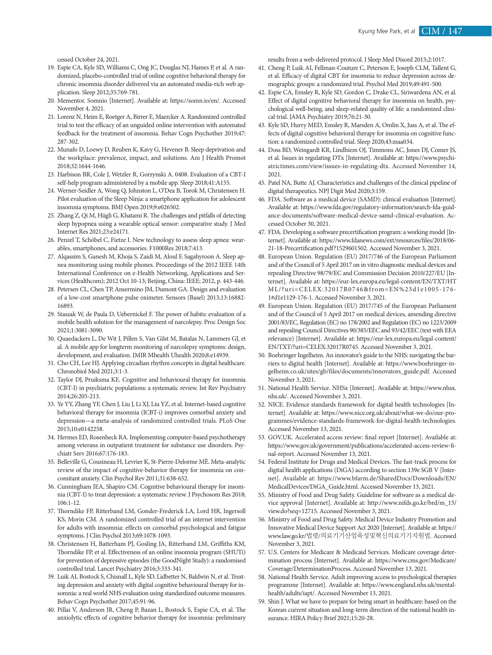cessed October 24, 2021.

- 19. Espie CA, Kyle SD, Williams C, Ong JC, Douglas NJ, Hames P, et al. A randomized, placebo-controlled trial of online cognitive behavioral therapy for chronic insomnia disorder delivered via an automated media-rich web application. Sleep 2012;35:769-781.
- 20. Mementor. Somnio [Internet]. Available at: https://somn.io/en/. Accessed November 4, 2021.
- 21. Lorenz N, Heim E, Roetger A, Birrer E, Maercker A. Randomized controlled trial to test the efficacy of an unguided online intervention with automated feedback for the treatment of insomnia. Behav Cogn Psychother 2019;47: 287-302.
- 22. Munafo D, Loewy D, Reuben K, Kavy G, Hevener B. Sleep deprivation and the workplace: prevalence, impact, and solutions. Am J Health Promot 2018;32:1644-1646.
- 23. Harbison BR, Cole J, Wetzler R, Gorzynski A. 0408. Evaluation of a CBT-I self-help program administered by a mobile app. Sleep 2018;41:A155.
- 24. Werner-Seidler A, Wong Q, Johnston L, O'Dea B, Torok M, Christensen H. Pilot evaluation of the Sleep Ninja: a smartphone application for adolescent insomnia symptoms. BMJ Open 2019;9:e026502.
- 25. Zhang Z, Qi M, Hügli G, Khatami R. The challenges and pitfalls of detecting sleep hypopnea using a wearable optical sensor: comparative study. J Med Internet Res 2021;23:e24171.
- 26. Penzel T, Schöbel C, Fietze I. New technology to assess sleep apnea: wearables, smartphones, and accessories. F1000Res 2018;7:413.
- 27. Alqassim S, Ganesh M, Khoja S, Zaidi M, Aloul F, Sagahyroon A. Sleep apnea monitoring using mobile phones. Proceedings of the 2012 IEEE 14th International Conference on e-Health Networking, Applications and Services (Healthcom); 2012 Oct 10-13; Beijing, China: IEEE; 2012, p. 443-446.
- 28. Petersen CL, Chen TP, Ansermino JM, Dumont GA. Design and evaluation of a low-cost smartphone pulse oximeter. Sensors (Basel) 2013;13:16882- 16893.
- 29. Staszak W, de Paula D, Uebernickel F. The power of habits: evaluation of a mobile health solution for the management of narcolepsy. Proc Design Soc 2021;1:3081-3090.
- 30. Quaedackers L, De Wit J, Pillen S, Van Gilst M, Batalas N, Lammers GJ, et al. A mobile app for longterm monitoring of narcolepsy symptoms: design, development, and evaluation. JMIR Mhealth Uhealth 2020;8:e14939.
- 31. Cho CH, Lee HJ. Applying circadian rhythm concepts in digital healthcare. Chronobiol Med 2021;3:1-3.
- 32. Taylor DJ, Pruiksma KE. Cognitive and behavioural therapy for insomnia (CBT-I) in psychiatric populations: a systematic review. Int Rev Psychiatry 2014;26:205-213.
- 33. Ye YY, Zhang YF, Chen J, Liu J, Li XJ, Liu YZ, et al. Internet-based cognitive behavioral therapy for insomnia (ICBT-i) improves comorbid anxiety and depression—a meta-analysis of randomized controlled trials. PLoS One 2015;10:e0142258.
- 34. Hermes ED, Rosenheck RA. Implementing computer-based psychotherapy among veterans in outpatient treatment for substance use disorders. Psychiatr Serv 2016;67:176-183.
- 35. Belleville G, Cousineau H, Levrier K, St-Pierre-Delorme MÈ. Meta-analytic review of the impact of cognitive-behavior therapy for insomnia on concomitant anxiety. Clin Psychol Rev 2011;31:638-652.
- 36. Cunningham JEA, Shapiro CM. Cognitive behavioural therapy for insomnia (CBT-I) to treat depression: a systematic review. J Psychosom Res 2018; 106:1-12.
- 37. Thorndike FP, Ritterband LM, Gonder-Frederick LA, Lord HR, Ingersoll KS, Morin CM. A randomized controlled trial of an internet intervention for adults with insomnia: effects on comorbid psychological and fatigue symptoms. J Clin Psychol 2013;69:1078-1093.
- 38. Christensen H, Batterham PJ, Gosling JA, Ritterband LM, Griffiths KM, Thorndike FP, et al. Effectiveness of an online insomnia program (SHUTi) for prevention of depressive episodes (the GoodNight Study): a randomised controlled trial. Lancet Psychiatry 2016;3:333-341.
- 39. Luik AI, Bostock S, Chisnall L, Kyle SD, Lidbetter N, Baldwin N, et al. Treating depression and anxiety with digital cognitive behavioural therapy for insomnia: a real world NHS evaluation using standardized outcome measures. Behav Cogn Psychother 2017;45:91-96.
- 40. Pillai V, Anderson JR, Cheng P, Bazan L, Bostock S, Espie CA, et al. The anxiolytic effects of cognitive behavior therapy for insomnia: preliminary

results from a web-delivered protocol. J Sleep Med Disord 2015;2:1017.

- 41. Cheng P, Luik AI, Fellman-Couture C, Peterson E, Joseph CLM, Tallent G, et al. Efficacy of digital CBT for insomnia to reduce depression across demographic groups: a randomized trial. Psychol Med 2019;49:491-500.
- 42. Espie CA, Emsley R, Kyle SD, Gordon C, Drake CL, Siriwardena AN, et al. Effect of digital cognitive behavioral therapy for insomnia on health, psychological well-being, and sleep-related quality of life: a randomized clinical trial. JAMA Psychiatry 2019;76:21-30.
- 43. Kyle SD, Hurry MED, Emsley R, Marsden A, Omlin X, Juss A, et al. The effects of digital cognitive behavioral therapy for insomnia on cognitive function: a randomized controlled trial. Sleep 2020;43:zsaa034.
- 44. Doss BD, Weingardt KR, Lindhiem OJ, Timmons AC, Jones DJ, Comer JS, et al. Issues in regulating DTx [Internet]. Available at: https://www.psychiatrictimes.com/view/issues-in-regulating-dtx. Accessed November 14, 2021.
- 45. Patel NA, Butte AJ. Characteristics and challenges of the clinical pipeline of digital therapeutics. NPJ Digit Med 2020;3:159.
- 46. FDA. Software as a medical device (SAMD): clinical evaluation [Internet]. Available at: https://www.fda.gov/regulatory-information/search-fda-guidance-documents/software-medical-device-samd-clinical-evaluation. Accessed October 30, 2021.
- 47. FDA. Developing a software precertification program: a working model [Internet]. Available at: https://www.fdanews.com/ext/resources/files/2018/06- 21-18-Precertification.pdf?1529601502. Accessed November 3, 2021.
- 48. European Union. Regulation (EU) 2017/746 of the European Parliament and of the Council of 5 April 2017 on in vitro diagnostic medical devices and repealing Directive 98/79/EC and Commission Decision 2010/227/EU [Internet]. Available at: https://eur-lex.europa.eu/legal-content/EN/TXT/HT ML/?uri=CELEX:32017R0746&from=EN%23d1e1005-176- 1#d1e1129-176-1. Accessed November 3, 2021.
- 49. European Union. Regulation (EU) 2017/745 of the European Parliament and of the Council of 5 April 2017 on medical devices, amending directive 2001/83/EC, Regulation (EC) no 178/2002 and Regulation (EC) no 1223/2009 and repealing Council Directives 90/385/EEC and 93/42/EEC (text with EEA relevance) [Internet]. Available at: https://eur-lex.europa.eu/legal-content/ EN/TXT/?uri=CELEX:32017R0745. Accessed November 3, 2021.
- 50. Boehringer Ingelheim. An innovator's guide to the NHS: navigating the barriers to digital health [Internet]. Available at: https://www.boehringer-ingelheim.co.uk/sites/gb/files/documents/innovators\_guide.pdf. Accessed November 3, 2021.
- 51. National Health Service. NHSx [Internet]. Available at: https://www.nhsx. nhs.uk/. Accessed November 3, 2021.
- 52. NICE. Evidence standards framework for digital health technologies [Internet]. Available at: https://www.nice.org.uk/about/what-we-do/our-programmes/evidence-standards-framework-for-digital-health-technologies. Accessed November 13, 2021.
- 53. GOV.UK. Accelerated access review: final report [Internet]. Available at: https://www.gov.uk/government/publications/accelerated-access-review-final-report. Accessed November 13, 2021.
- 54. Federal Institute for Drugs and Medical Devices. The fast-track process for digital health applications (DiGA) according to section 139e SGB V [Internet]. Available at: https://www.bfarm.de/SharedDocs/Downloads/EN/ MedicalDevices/DiGA\_Guide.html. Accessed November 13, 2021.
- 55. Ministry of Food and Drug Safety. Guideline for software as a medical device approval [Internet]. Available at: http://www.nifds.go.kr/brd/m\_15/ view.do?seq=12715. Accessed November 3, 2021.
- 56. Ministry of Food and Drug Safety. Medical Device Industry Promotion and Innovative Medical Device Support Act 2020 [Internet]. Available at: https:// www.law.go.kr/법령/의료기기산업육성및혁신의료기기지원법. Accessed November 3, 2021.
- 57. U.S. Centers for Medicare & Medicaid Services. Medicare coverage determination process [Internet]. Available at: https://www.cms.gov/Medicare/ Coverage/DeterminationProcess. Accessed November 13, 2021.
- 58. National Health Service. Adult improving access to psychological therapies programme [Internet]. Available at: https://www.england.nhs.uk/mentalhealth/adults/iapt/. Accessed November 13, 2021.
- 59. Shin J. What we have to prepare for being smart in healthcare: based on the Korean current situation and long-term direction of the national health insurance. HIRA Policy Brief 2021;15:20-28.